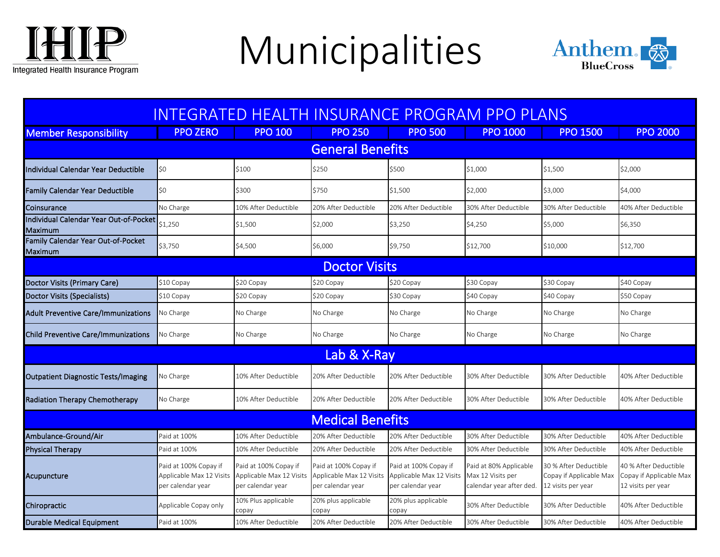

## Municipalities



| <u>INTEGRATED HEALTH INSURANCE PROGRAM PPO PLANS</u> |                                                                        |                                                                        |                                                                        |                                                                        |                                                                         |                                                                        |                                                                        |  |  |  |  |  |
|------------------------------------------------------|------------------------------------------------------------------------|------------------------------------------------------------------------|------------------------------------------------------------------------|------------------------------------------------------------------------|-------------------------------------------------------------------------|------------------------------------------------------------------------|------------------------------------------------------------------------|--|--|--|--|--|
| <b>Member Responsibility</b>                         | <b>PPO ZERO</b>                                                        | <b>PPO 100</b>                                                         | <b>PPO 250</b>                                                         | <b>PPO 500</b>                                                         | <b>PPO 1000</b>                                                         | <b>PPO 1500</b>                                                        | <b>PPO 2000</b>                                                        |  |  |  |  |  |
| <b>General Benefits</b>                              |                                                                        |                                                                        |                                                                        |                                                                        |                                                                         |                                                                        |                                                                        |  |  |  |  |  |
| Individual Calendar Year Deductible                  | \$0                                                                    | \$100                                                                  | \$250                                                                  | \$500                                                                  | \$1,000                                                                 | \$1,500                                                                | \$2,000                                                                |  |  |  |  |  |
| <b>Family Calendar Year Deductible</b>               | \$0                                                                    | \$300                                                                  | \$750                                                                  | \$1,500                                                                | \$2,000                                                                 | \$3,000                                                                | \$4,000                                                                |  |  |  |  |  |
| Coinsurance                                          | No Charge                                                              | 10% After Deductible                                                   | 20% After Deductible                                                   | 20% After Deductible                                                   | 30% After Deductible                                                    | 30% After Deductible                                                   | 40% After Deductible                                                   |  |  |  |  |  |
| Individual Calendar Year Out-of-Pocket <br>Maximum   | \$1,250                                                                | \$1,500                                                                | \$2,000                                                                | \$3,250                                                                | \$4,250                                                                 | \$5,000                                                                | \$6,350                                                                |  |  |  |  |  |
| Family Calendar Year Out-of-Pocket<br>Maximum        | \$3,750                                                                | \$4,500                                                                | \$6,000                                                                | \$9,750                                                                | \$12,700                                                                | \$10,000                                                               | \$12,700                                                               |  |  |  |  |  |
| <b>Doctor Visits</b>                                 |                                                                        |                                                                        |                                                                        |                                                                        |                                                                         |                                                                        |                                                                        |  |  |  |  |  |
| Doctor Visits (Primary Care)                         | \$10 Copay                                                             | \$20 Copay                                                             | \$20 Copay                                                             | \$20 Copay                                                             | \$30 Copay                                                              | \$30 Copay                                                             | \$40 Copay                                                             |  |  |  |  |  |
| Doctor Visits (Specialists)                          | \$10 Copay                                                             | \$20 Copay                                                             | \$20 Copay                                                             | \$30 Copay                                                             | \$40 Copay                                                              | \$40 Copay                                                             | \$50 Copay                                                             |  |  |  |  |  |
| <b>Adult Preventive Care/Immunizations</b>           | No Charge                                                              | No Charge                                                              | No Charge                                                              | No Charge                                                              | No Charge                                                               | No Charge                                                              | No Charge                                                              |  |  |  |  |  |
| Child Preventive Care/Immunizations                  | No Charge                                                              | No Charge                                                              | No Charge                                                              | No Charge                                                              | No Charge                                                               | No Charge                                                              | No Charge                                                              |  |  |  |  |  |
| Lab & X-Ray                                          |                                                                        |                                                                        |                                                                        |                                                                        |                                                                         |                                                                        |                                                                        |  |  |  |  |  |
| <b>Outpatient Diagnostic Tests/Imaging</b>           | No Charge                                                              | 10% After Deductible                                                   | 20% After Deductible                                                   | 20% After Deductible                                                   | 30% After Deductible                                                    | 30% After Deductible                                                   | 40% After Deductible                                                   |  |  |  |  |  |
| Radiation Therapy Chemotherapy                       | No Charge                                                              | 10% After Deductible                                                   | 20% After Deductible                                                   | 20% After Deductible                                                   | 30% After Deductible                                                    | 30% After Deductible                                                   | 40% After Deductible                                                   |  |  |  |  |  |
| <b>Medical Benefits</b>                              |                                                                        |                                                                        |                                                                        |                                                                        |                                                                         |                                                                        |                                                                        |  |  |  |  |  |
| Ambulance-Ground/Air                                 | Paid at 100%                                                           | 10% After Deductible                                                   | 20% After Deductible                                                   | 20% After Deductible                                                   | 30% After Deductible                                                    | 30% After Deductible                                                   | 40% After Deductible                                                   |  |  |  |  |  |
| <b>Physical Therapy</b>                              | Paid at 100%                                                           | 10% After Deductible                                                   | 20% After Deductible                                                   | 20% After Deductible                                                   | 30% After Deductible                                                    | 30% After Deductible                                                   | 40% After Deductible                                                   |  |  |  |  |  |
| Acupuncture                                          | Paid at 100% Copay if<br>Applicable Max 12 Visits<br>per calendar year | Paid at 100% Copay if<br>Applicable Max 12 Visits<br>per calendar year | Paid at 100% Copay if<br>Applicable Max 12 Visits<br>per calendar year | Paid at 100% Copay if<br>Applicable Max 12 Visits<br>per calendar year | Paid at 80% Applicable<br>Max 12 Visits per<br>calendar year after ded. | 30 % After Deductible<br>Copay if Applicable Max<br>12 visits per year | 40 % After Deductible<br>Copay if Applicable Max<br>12 visits per year |  |  |  |  |  |
| Chiropractic                                         | Applicable Copay only                                                  | 10% Plus applicable<br>copay                                           | 20% plus applicable<br>copay                                           | 20% plus applicable<br>copay                                           | 30% After Deductible                                                    | 30% After Deductible                                                   | 40% After Deductible                                                   |  |  |  |  |  |
| Durable Medical Equipment                            | Paid at 100%                                                           | 10% After Deductible                                                   | 20% After Deductible                                                   | 20% After Deductible                                                   | 30% After Deductible                                                    | 30% After Deductible                                                   | 40% After Deductible                                                   |  |  |  |  |  |